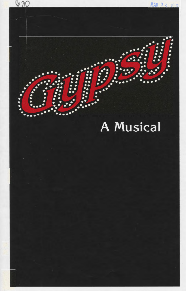

**MAR 0 8 1991** 

# **A** Musical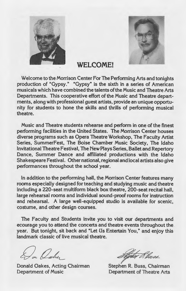



### **WELCOME!**

Welcome to the Morrison Center For The Performing Arts and tonights production of "Gypsy." "Gypsy" is the sixth in a series of American musicals which have combined the talents of the Music and Theatre Arts Departments. This cooperative effort of the Music and Theatre departments, along with professional guest artists, provide an unique opportunity for students to hone the skills and thrills of performing musical theatre.

Music and Theatre students rehearse and perform in one of the finest performing facilities in the United States. The Morrison Center houses diverse programs such as Opera Theatre Workshop, The Faculty Artist Series, SummerFest, The Boise Chamber Music Society, The Idaho Invitational Theatre Festival, The New Plays Series, Ballet and Repertory Dance, Summer Dance and affiliated productions with the Idaho Shakespeare Festival. Other national, regional and local artists also give performances throughout the school year.

In addition to the performing hall, the Morrison Center features many rooms especially designed for teaching and studying music and theatre including a 220-seat multiform black box theatre, 200-seat recital hall, large rehearsal rooms and individual sound-proof rooms for instruction and rehearsal. A large well-equipped studio is available for scenic, costume, and other design courses.

The Faculty and Students invite you to visit our departments and ecourage you to attend the concerts and theatre events throughout the year. But tonight, sit back and "Let Us Entertain You," and enjoy this landmark classic of live musical theatre.

In Owner

Donald Oakes, Acting Chairman Department of Music

 $\#$ 

Stephen R. Buss, Chairman Department of Theatre Arts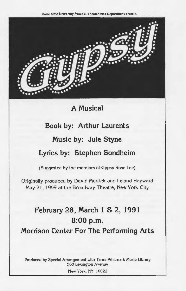Boise State University Music & Theater Arts Department present



**A Musical** 

# **Book by: Arthur Laurents**

### **Music by: Jule Styne**

## **Lyrics by: Stephen Sondheim**

(Suggested by the memiors of Gypsy Rose Lee)

Originally produced by David Merrick and Leland Hayward May 21, 1959 at the Broadway Theatre, New York City

# **February 28, March 1 & 2, 1991 8:00p.m. Morrison Center For The Performing Arts**

Produced by Special Arrangement with Tams-Whitmark Music Ubrary 560 Lexington Avenue

New York, NY 10022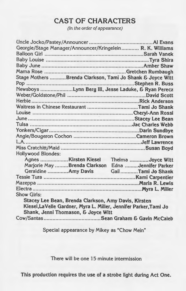# CAST OF CHARACTERS

(In the order of appearance)

| Georgie/Stage Manager/Announcer/Kringelein R. K. Williams         |  |  |
|-------------------------------------------------------------------|--|--|
|                                                                   |  |  |
|                                                                   |  |  |
|                                                                   |  |  |
|                                                                   |  |  |
| Stage Mothers Brenda Clarkson, Tami Jo Shank & Joyce Witt         |  |  |
|                                                                   |  |  |
| Newsboys Lynn Berg III, Jesse Laduke, & Ryan Perecz               |  |  |
|                                                                   |  |  |
|                                                                   |  |  |
|                                                                   |  |  |
|                                                                   |  |  |
|                                                                   |  |  |
|                                                                   |  |  |
|                                                                   |  |  |
|                                                                   |  |  |
|                                                                   |  |  |
|                                                                   |  |  |
| Hollywood Blondes:                                                |  |  |
|                                                                   |  |  |
| Marjorie May Brenda Clarkson Edna Jennifer Parker                 |  |  |
| Geraldine Amy Davis Gail Tami Jo Shank                            |  |  |
|                                                                   |  |  |
|                                                                   |  |  |
|                                                                   |  |  |
| <b>Show Girls:</b>                                                |  |  |
| Stacey Lee Bean, Brenda Clarkson, Amy Davis, Kirsten              |  |  |
| Kiesel, LaVelle Gardner, Myra L. Miller, Jennifer Parker, Tami Jo |  |  |
| Shank, Jenni Thomason, & Joyce Witt                               |  |  |
|                                                                   |  |  |

Special appearance by Mikey as "Chow Mein"

There will be one 15 minute intermission

This production requires the use of a strobe light during Act One.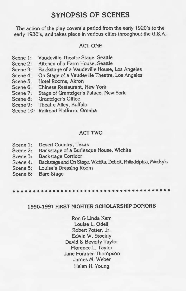### SYNOPSIS OF SCENES

The action of the play covers a period from the early 1920's to the early 1930's, and takes place in various cities throughout the U.S.A.

#### ACT ONE

- Scene 1: Vaudeville Theatre Stage, Seattle
- Scene 2: Kitchen of a Farm House, Seattle
- Scene 3: Backstage of a Vaudeville House, Los Angeles
- Scene 4: On Stage of a Vaudeville Theatre, Los Angeles
- Scene 5: Hotel Rooms, Akron
- Scene 6: Chinese Restaurant, New York
- Scene 7: Stage of Grantziger's Palace, New York
- Scene 8: Grantziger's Office
- Scene 9: Theatre Alley, Buffalo
- Scene 10: Railroad Platform, Omaha

#### ACT TWO

- Scene 1: Desert Country, Texas
- Scene 2: Backstage of a Burlesque House, Wichita
- Scene 3: Backstage Corridor
- Scene 4: Backstage and On Stage, Wichita, Detroit, Philadelphia, Minsky's
- Scene 5: Louise's Dressing Room
- Scene 6: Bare Stage

••••••••••••••••••••••••••••••••••••••••

#### 1990-1991 FIRST NIGHTER SCHOLARSHIP DONORS

Ron & Linda Kerr Louise L. Odell Robert Potter, Jr. Edwin W. Stockly David & Beverly Taylor Florence L. Taylor Jane Foraker-Thompson James M. Weber Helen H. Young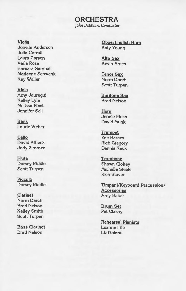#### **ORCHESTRA**  *John Baldwin, Conductor*

#### Violin

Jonelle Anderson Julia Carroll Laura Carson Verla Rose Barbara Samball Marleene Schwenk Kay Waller

#### Viola

Amy Jauregui Kelley Lyle Melissa Pfost Jennifer Sell

**Bass** Laurie Weber

Cello David Affleck Jody Zimmer

Flute Dorsey Riddle Scott Turpen

Piccolo Dorsey Riddle

#### Clarinet Norm Darch Brad Nelson Kelley Smith Scott Turpen

Bass Clarinet Brad Nelson

Oboe/English Horn Katy Young

Alto Sax Kevin Ames

Tenor Sax Norm Darch Scott Turpen

Baritone Sax Brad Nelson

Horn Jennie Ficks David Munk

**Trumpet** Zoe Barnes Rich Gregory Dennis Keck

**Trombone** Shawn Clokey Michelle Steele Rich Stover

Timpani/Keyboard Percussion/ **Accessories** Amy Baker

Drum Set Pat Clasby

Rehearsal Pianists Luanne Fife Liz Noland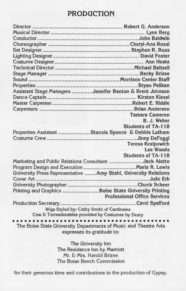# **PRODUCTION**

| Assistant Stage Managers Jennifer Benton & Brent Johnson                |                                     |  |
|-------------------------------------------------------------------------|-------------------------------------|--|
|                                                                         |                                     |  |
|                                                                         |                                     |  |
|                                                                         |                                     |  |
|                                                                         | <b>Tamara Cameron</b>               |  |
|                                                                         | B. J. Weber                         |  |
|                                                                         | <b>Students of TA-118</b>           |  |
| Properties Assistant Staceia Spence & Debbie Latham                     |                                     |  |
|                                                                         |                                     |  |
|                                                                         | <b>Teresa Kraipowich</b>            |  |
|                                                                         | <b>Lee Woods</b>                    |  |
|                                                                         | <b>Students of TA-118</b>           |  |
| Marketing and Public Relations Consultant Jack Alotto                   |                                     |  |
|                                                                         |                                     |  |
| <b>University Press Representative  Amy Stahl, University Relations</b> |                                     |  |
|                                                                         |                                     |  |
|                                                                         |                                     |  |
| Printing and Graphics Boise State University Printing                   |                                     |  |
|                                                                         | <b>Professional Office Services</b> |  |
|                                                                         |                                     |  |
| Wigs Styled by: Cathy Smith of Cardinales                               |                                     |  |
| Cow & Torreadorables provided by Costumes by Dusty                      |                                     |  |
|                                                                         |                                     |  |
| The Boise State University Departments of Music and Theatre Arts        |                                     |  |
| expresses its gratitude to:                                             |                                     |  |

The University Inn The Residence Inn by Marriott Mr. & Mrs. Harold Brizee The Boise Bench Commission

for their generous time and contributions to the production of Gypsy.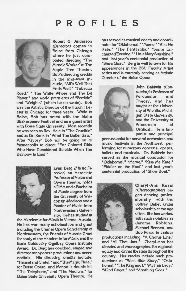# **PROFILES**



Robert G. Anderson (Director) comes to Boise from Chicago where he just completed directing "The Miracle Worker" at The Apple Tree Theater. Bob's directing credits in the mid-west include, "All's Well That Ends Well," "Tobacco

Road," " The White Whore and The Bit Player." and world premieres of "Perdido" and "Weights" (which he co-wrote). Bob was the Artistic Director of the Huron Theater in Chicago for three years. While in Boise, Bob has acted with the Idaho Shakespeare Festival and as a guest artist with Boise State University. Most recently he was seen as Rev. Hale in "The Crucible" and as Dr. Rank in "What The Butler Saw. • After "Gypsy" Bob will be going on to Minneapolis to direct "For Colored Girls Who Have Considered Suicide When The Rainbow Is Enuf."



Lynn Berg (Music Dl· rector) an Associate Professor of Voice and Opera Theatre, holds a DMA and a Bachelor of Music degree from the University of Wisconsin-Madison and a Master of Music from Northwestern University. He has studied at

the Akademie fur Müsik in Vienna, Austria. He has won many scholarships and grant including the Cramer Opera Scholarship at Northwestern, the Friends of Austria Grant for study at the Akademie fur Müsik and the Boris Goldovsky Ogelbay Opera Institute Award. Dr. Berg has coached, staged and directed many opera productions and scene recitals. His directing credits include, "Hansel and Gretel," and "The Magic Flute." for Boise Opera, and Menotti's double bill "The Telephone," and "The Medium." for Boise State University Opera Theatre. He has served as musical coach and coordinator for "Oklahoma!," "Mame," "Kiss Me Kate," "The Fantastiks," "Some Enchanted Evening," "LittleMary Sunshine," and last year's centennial production of "Show Boat." Berg is well known for his appearances in the BSU Faculty Artist series and is currently serving as Artistic Director of the Boise Opera.



John Baldwin (Conductor) is Professor of<br>Percussion and Percussion Theory, and has taught at the University of Wichita, Michigan State University, and the University of Wisconsin at Oshkosh. He is timpanist and principal

percussionist for serveral orchestras and music festivals in the Northwest, performing for numerous concerts, operas, ballets and musicals. Dr. Baldwin has served as the musical conductor for "Oklahoma)," "Marne," "Kiss Me Kate," "Fiddler on the Roof," and last year's centennial production of "Show Boat."



Cheryl-Ann Rossi (Choreographer) began dancing professionally with the Joffrey Ballet under scholarship at the age often. She has worked with such notables as Jerome Robbins, Michael Bennett, and Bob Fosse in various

productions including, "A Chorus Line," and "All That Jazz." Cheryl-Ann has directed and choreographed for regional, equity and dinner theaters throughout the country. Her credits include such productions as "West Side Story," "Oklahomal," "The King and I," "My Fair Lady," "42nd Street," and "Anything Goes."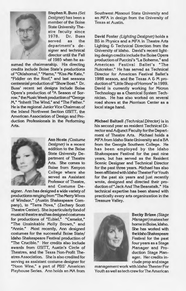

Stephen R. Buss (Set Designer) has been <sup>a</sup> member of the Boise State University Theatre faculty since 1978. Dr. Buss served as the department's designer and technical director until the Fall of 1985 when he as-

sumed the chairmanship. His directing credits include Boise State's productions of "Oklahomal," "Mame," "Kiss Me Kate," "Fiddler on the Roof," and last seasons centennial production of "Show Boat." Dr. Buss' recent set designs include Boise Opera's production of "A Season of Sorrow," the Music Week production of"George M," "Inherit The Wind," and "The Father." He is the regional Junior Vice Chairman of the Inland Northwest Section USITT, the American Association of Design and Production Professionals in the Performing Arts.



Ann Hoste (Costume Designer) is a recent addition to the Boise State University Department of Theatre Arts. She comes to Boise from Kenyon College where she served as Assistant Professor of Theatre, and Costume De-

signer. Ann has designed a wide variety of productions ranging from "The Merry Wives of Windsor," (Austin Shakespeare Company), to "Terra Nova," (Zachary Scott Theatre Center). She is particularly fond of musical theatre and has designed costumes for productions of "Eubiel," "Camelot," "The Unsinkable Molly Brown," and "Annie." Most recently, Ann designed costumes for the successful Boise State/ Idaho Shakespeare Festival production of "The Crucible." Her credits also include awards from USITT, Austin's Circle of Theatres, and the Texas Non-Profit Theatres Association. She is also credited for serving as assistant costume designer for "Noon Wine," a part of PBS' American Playhouse Series. Ann holds an MA from

Southwest Missouri State University and an MFA in design from the University of Texas at Austin.

David Foster (Lighting Designer) holds <sup>a</sup> BS in Physics and a MFA in Theatre Arts Lighting & Technical Direction from the University of Idaho. David's recent lighting design credits include the Boise Opera production of Puccini's "La Boheme," and American Festival Ballet's "The Nutcraker." He has served as Technical Director for American Festival Ballet's 1988 season, and the Texas A & M production of "Little Shop of Horrors" in 1989. David is currently working for Micron Technology as a Chemical System Technician. He has also worked on several road shows at the Morrison Center as <sup>a</sup> local stage hand.

Michael Baltzell (Technical Director) is in his second year as resident Technical Director and Adjunct Faculty for the Department of Theatre Arts. Michael holds <sup>a</sup> MFA from Idaho State University and a BA from the Georgia Southern College. He has been employed by the Idaho Shakespeare Festival for the past nine years, but has served as the Resident Scenic Designer and Technical Director for the past three years. Michael has also been affiliated with Idaho Theater For Youth for the past six years and just recently wrote, designed and directed their production of" Jack And The Beanstalk." His technical expertise has been shared with practically every arts organinzation in the Treasure Valley.



Becky Brlzee (Stage Manager) makes her home in Boise, Idaho. She has worked with the Idaho Shakespeare Festival for the pas<sup>t</sup> four years as a Stage Manager and Production Stage Manager. Her credits include prop and stage

management work with Idaho Theater For Youth as well as tech crew for The American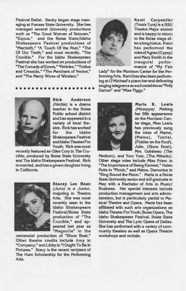Festival Ballet. Becky began stage managing at Kansas State University. She has managed several University productions such as "The Good Woman of Setzuan," "Equus," and the Boise State/Idaho Shakespeare Festival productions of "Macbeth," "A Touch Of the Poet," "The Of Our Teeth," and most recently, "The Crucible." For the Idaho Shakespeare Festival she has worked on productions of "The Comedy of Errors," "Pericles," "Troilus and Cressida," "The Merchant of Venice," and "The Merry Wives of Windsor."

# ••••••••••••••••••••



Rick Anderson (Herbie) is a drama teacher in the Boise Public school district and has appeared in a variety of local theatre. Rick has worked<br>for the Idaho for the Idaho Shakespeare Festival and Idaho Theater For Youth. Rick was most

recently featured as Giles Cory in The Crucible, produced by Boise State University and The Idaho Shakespeare Festival. Rick is married, and has a grown daughter living in California.



Stacey Lee Bean (June) is a Junior, majoring in Theatre Arts. She was most recently seen in the Idaho Shakespeare Festival/Boise State production of "The Crucible," and appeared last year as "Magnolia" in the

centennial production of "Show Boat." Other theatre credits include Amy in "Company," and Libby in "I Ought To Be In Pictures." Stacy is the recent recipient of The Hunt Scholarship for the Performing Arts.



Kami Carpentier (Tessie Tura) is a BSU Theatre Major alumni and is happy to return to the Boise stage after a long hiatus. Kami has performed the roles of Agnes (Gypsy) and Mary Smith in the inaugural performance of "My Fair

Lady" for the Morrison Center for the Performing Arts. Kami has also been performing at O'Michael's piano bar and delivering singing telegrams as such notables as "Polly Darton" and "Miss Piggy."



Marla R. Lewis (Mazeppa) Making her fifth appearance on the Morrison Center stage, Miss Lewis has previously sung the roles of Mame. (Mame), Tzeital, (Fiddler on the Roof), Julie, (Show Boat), Mrs. Gobineau (The

Medium), and Yum Yum, (The Mikado). Other stage roles include Miss Prism in "The Importance of Being Earnest," Helen Potts in "Picnic," and Mdme. Demortes in "Ring Round the Moon." Maria is a Boise State University senior and will graduate in May with a Bachelor of Arts in Music/ Business. Her special interests include production management and arts administration, but is particularly partial to Musical Theatre and Opera. Maria has been affiliated with such arts organizations as Idaho Theater For Youth, Boise Opera, The Idaho Shakespeare Festival, Boise State University and The Lyric Opera of Dallas. She has performed with a variety of community theaters as well as Opera Theatre workshops and recitals.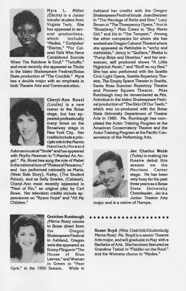

Myra L. Miller (Electra) is a Junior transfer student from Virginia Tech. She has appeared in several productions, which include: "Medea, " Euripides' "Electra." "For Colored Girls Who Have Considered Suicide

When The Rainbow Is Enuf," "Tartuffe," and most recently she appeared as Tituba in the Idaho Shakespeare Festival/Boise State production of "The Crucible." Myra has a double major with an emphasis in both Theatre Arts and Communication.



Cheryl-Ann Rossi (Louise) is a new comer to the Boise stage, but has appeared professionally many times on the Broadway stage in New York City. Her credits include a principle role in the Marvin Hamlisch/Howard

Ashman musical "Smile" and has appeared with Phyllis Newman in "I Married An Angel." Ms. Rossi has sung the role of Mabel in the national tour of "Pirates of Penzance." and has performed nationally as Maria, (West Side Story), Kathy, (The Student Prince), and as Sally Bowles, (Cabaret). Cheryl-Ann most recently appeared in "Next of Kin," an original play by Carl Rowe. Her television credits include appearances on "Ryans Hope" and "All My Children."

in "The Marriage of Bette and Boo," Lucy Brown in "The Threepenny Opera, • Ann in "Broadway," Miss Crews in "Boy Meets Girl," and Iris in "The Tempest." Among the other companies for whom she has worked are Oregon Cabaret Theatre where she appeared as Mehitable in "archy and mehitable," Jenny in "Quilters." Rhetta in "Pump Boys and Dinettes," and her onewoman, self produced shows "A Little Nightclub Music," and "Stuff on my Bed." She has also performed with the Seattle Civic Light Opera, Seattle Repertory Theatre, The Empty Space Theater in Seattle, Santa Rosa Summer Repertory Theatre and Pioneer Square Theatre. Miss Rumbaugh may be remembered as Mrs. Antrobus in the Idaho Shakespeare Festival production of "The Skin Of Our Teeth," which was co-produced with the Boise State University Department of Theatre Arts in 1989. Ms. Rumbaugh has completed the Actor Training Program at the American Conservatory Theatre and the Actor Training Program at the Pacific Conservatory of the Performing Arts.

Ashland her credits with the Oregon Shakespeare Festival inlude Joan Brennan



Jac Charles Webb (Tulsa) is making his theatre debut this season on the Morrison Center stage. He has been very busy for the past three years as a Boise State University Cheerleader. Jac is a Junior Theatre Arts

major and is a native of Nampa.



Susan Boyd (Miss Cratchitt/Understudy Mama Rose) Ms. Boyd is a senior Theatre Arts major, and will graduate in May with a Bachelor of Arts. She has been featured as Grandma Tzeital in "Fiddler on the Roof." and the Womens chorus in "Medea."



Gretchen Rumbaugh (Mama Rose) comes to Boise direct from the Oregon Shakespeare Festival in Ashland, Oregon were she appeared as Bunny Flingus in "The House of Blue Leaves," and Woman in Green in "Peer

Gynt." in the 1990 Season. While in